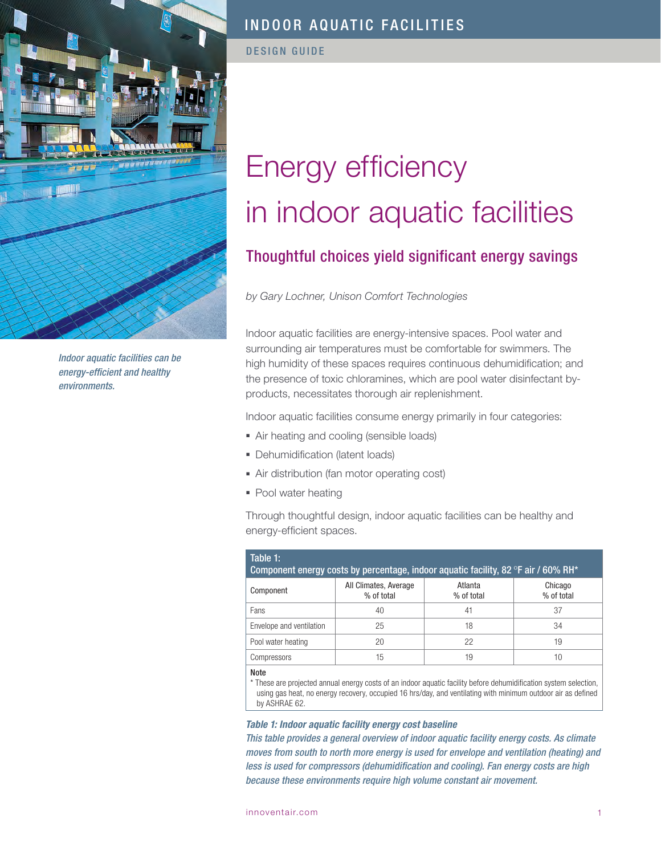

*Indoor aquatic facilities can be energy-efficient and healthy environments.*

DESIGN GUIDE

# Energy efficiency in indoor aquatic facilities

## Thoughtful choices yield significant energy savings

### *by Gary Lochner, Unison Comfort Technologies*

Indoor aquatic facilities are energy-intensive spaces. Pool water and surrounding air temperatures must be comfortable for swimmers. The high humidity of these spaces requires continuous dehumidification; and the presence of toxic chloramines, which are pool water disinfectant byproducts, necessitates thorough air replenishment.

Indoor aquatic facilities consume energy primarily in four categories:

- Air heating and cooling (sensible loads)
- Dehumidification (latent loads)
- Air distribution (fan motor operating cost)
- Pool water heating

Through thoughtful design, indoor aquatic facilities can be healthy and energy-efficient spaces.

| Table 1:<br>Component energy costs by percentage, indoor aquatic facility, 82 °F air / 60% RH* |                                     |                       |                       |  |
|------------------------------------------------------------------------------------------------|-------------------------------------|-----------------------|-----------------------|--|
| Component                                                                                      | All Climates, Average<br>% of total | Atlanta<br>% of total | Chicago<br>% of total |  |
| Fans                                                                                           | 40                                  | 41                    | 37                    |  |
| Envelope and ventilation                                                                       | 25                                  | 18                    | 34                    |  |
| Pool water heating                                                                             | 20                                  | 22                    | 19                    |  |
| Compressors                                                                                    | 15                                  | 19                    | 10                    |  |
| <b>Note</b>                                                                                    |                                     |                       |                       |  |

\* These are projected annual energy costs of an indoor aquatic facility before dehumidification system selection, using gas heat, no energy recovery, occupied 16 hrs/day, and ventilating with minimum outdoor air as defined by ASHRAE 62.

#### *Table 1: Indoor aquatic facility energy cost baseline*

*This table provides a general overview of indoor aquatic facility energy costs. As climate moves from south to north more energy is used for envelope and ventilation (heating) and less is used for compressors (dehumidification and cooling). Fan energy costs are high because these environments require high volume constant air movement.*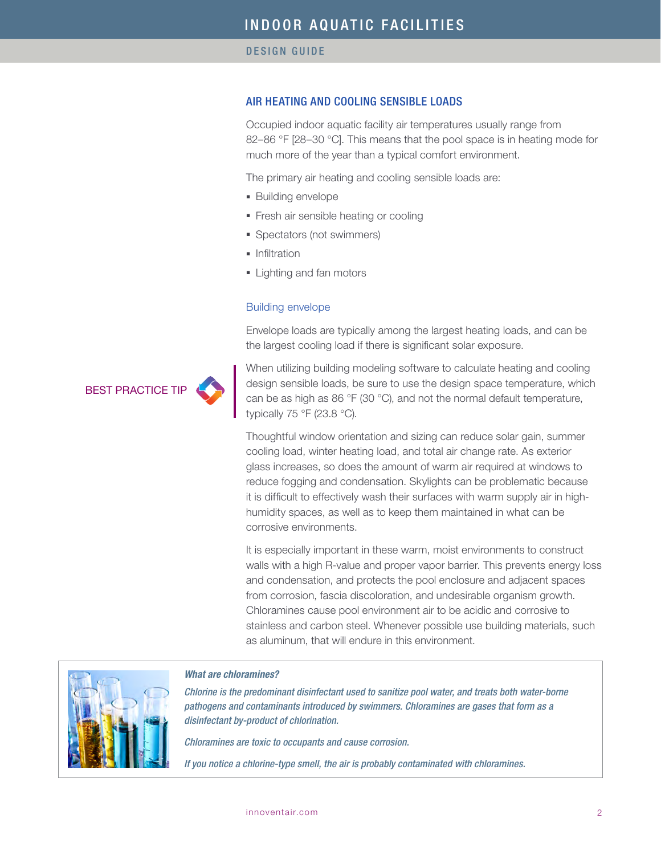#### AIR HEATING AND COOLING SENSIBLE LOADS

Occupied indoor aquatic facility air temperatures usually range from 82–86 °F [28–30 °C]. This means that the pool space is in heating mode for much more of the year than a typical comfort environment.

The primary air heating and cooling sensible loads are:

- Building envelope
- Fresh air sensible heating or cooling
- Spectators (not swimmers)
- Infiltration
- Lighting and fan motors

#### Building envelope

Envelope loads are typically among the largest heating loads, and can be the largest cooling load if there is significant solar exposure.

**BEST PRACTICE TI** 

When utilizing building modeling software to calculate heating and cooling design sensible loads, be sure to use the design space temperature, which can be as high as 86 °F (30 °C), and not the normal default temperature, typically 75 °F (23.8 °C).

Thoughtful window orientation and sizing can reduce solar gain, summer cooling load, winter heating load, and total air change rate. As exterior glass increases, so does the amount of warm air required at windows to reduce fogging and condensation. Skylights can be problematic because it is difficult to effectively wash their surfaces with warm supply air in highhumidity spaces, as well as to keep them maintained in what can be corrosive environments.

It is especially important in these warm, moist environments to construct walls with a high R-value and proper vapor barrier. This prevents energy loss and condensation, and protects the pool enclosure and adjacent spaces from corrosion, fascia discoloration, and undesirable organism growth. Chloramines cause pool environment air to be acidic and corrosive to stainless and carbon steel. Whenever possible use building materials, such as aluminum, that will endure in this environment.



#### *What are chloramines?*

*Chlorine is the predominant disinfectant used to sanitize pool water, and treats both water-borne pathogens and contaminants introduced by swimmers. Chloramines are gases that form as a disinfectant by-product of chlorination.*

*Chloramines are toxic to occupants and cause corrosion.*

*If you notice a chlorine-type smell, the air is probably contaminated with chloramines.*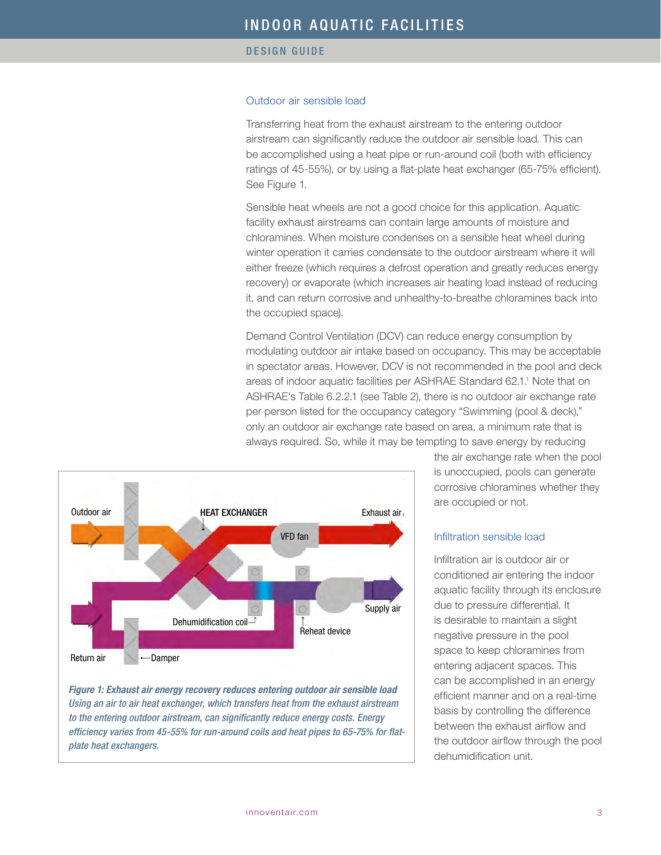#### Outdoor air sensible load

Transferring heat from the exhaust airstream to the entering outdoor airstream can significantly reduce the outdoor air sensible load. This can be accomplished using a heat pipe or run-around coil (both with efficiency ratings of 45-55%), or by using a flat-plate heat exchanger (65-75% efficient). See Figure 1.

Sensible heat wheels are not a good choice for this application. Aquatic facility exhaust airstreams can contain large amounts of moisture and chloramines. When moisture condenses on a sensible heat wheel during winter operation it carries condensate to the outdoor airstream where it will either freeze (which requires a defrost operation and greatly reduces energy recovery) or evaporate (which increases air heating load instead of reducing it, and can return corrosive and unhealthy-to-breathe chloramines back into the occupied space).

Demand Control Ventilation (DCV) can reduce energy consumption by modulating outdoor air intake based on occupancy. This may be acceptable in spectator areas. However, DCV is not recommended in the pool and deck areas of indoor aquatic facilities per ASHRAE Standard 62.1.<sup>1</sup> Note that on ASHRAE's Table 6.2.2.1 (see Table 2), there is no outdoor air exchange rate per person listed for the occupancy category "Swimming (pool & deck)," only an outdoor air exchange rate based on area, a minimum rate that is always required. So, while it may be tempting to save energy by reducing



*Figure 1: Exhaust air energy recovery reduces entering outdoor air sensible load Using an air to air heat exchanger, which transfers heat from the exhaust airstream to the entering outdoor airstream, can significantly reduce energy costs. Energy efficiency varies from 45-55% for run-around coils and heat pipes to 65-75% for flatplate heat exchangers.*

the air exchange rate when the pool is unoccupied, pools can generate corrosive chloramines whether they are occupied or not.

#### Infiltration sensible load

Infiltration air is outdoor air or conditioned air entering the indoor aquatic facility through its enclosure due to pressure differential. It is desirable to maintain a slight negative pressure in the pool space to keep chloramines from entering adjacent spaces. This can be accomplished in an energy efficient manner and on a real-time basis by controlling the difference between the exhaust airflow and the outdoor airflow through the pool dehumidification unit.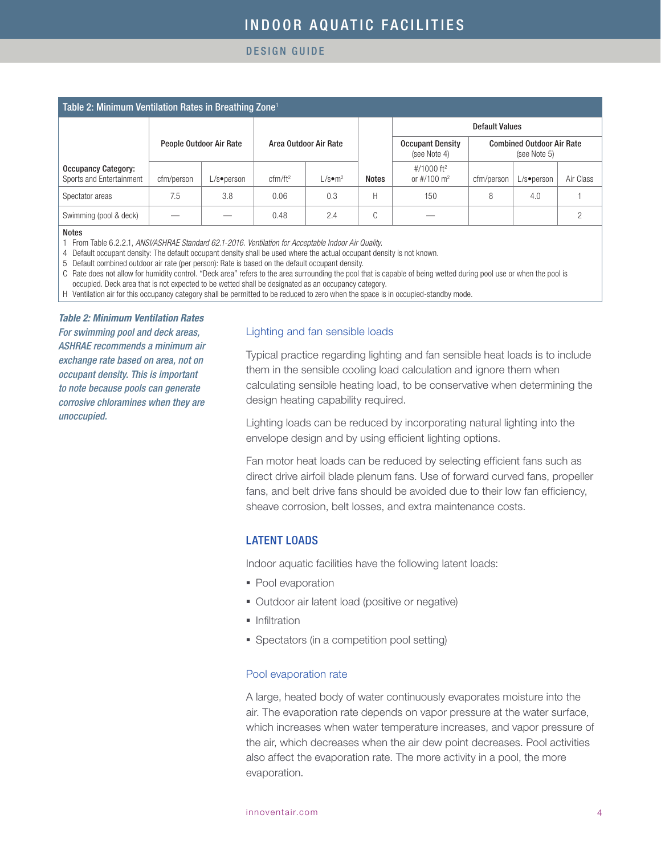#### DESIGN GUIDE

| Table 2: Minimum Ventilation Rates in Breathing Zone <sup>1</sup> |            |                         |                       |                                   |              |                                                     |            |               |                                                  |  |
|-------------------------------------------------------------------|------------|-------------------------|-----------------------|-----------------------------------|--------------|-----------------------------------------------------|------------|---------------|--------------------------------------------------|--|
|                                                                   |            |                         |                       |                                   |              | <b>Default Values</b>                               |            |               |                                                  |  |
|                                                                   |            | People Outdoor Air Rate | Area Outdoor Air Rate |                                   |              | <b>Occupant Density</b><br>(see Note 4)             |            |               | <b>Combined Outdoor Air Rate</b><br>(see Note 5) |  |
| <b>Occupancy Category:</b><br>Sports and Entertainment            | cfm/person | $L/s$ •person           | cfm/ft <sup>2</sup>   | $\mathsf{L/s}\bullet\mathsf{m}^2$ | <b>Notes</b> | #/1000 ft <sup>2</sup><br>or $\#/100 \; \text{m}^2$ | cfm/person | $L/s$ •person | Air Class                                        |  |
| Spectator areas                                                   | 7.5        | 3.8                     | 0.06                  | 0.3                               | Н            | 150                                                 | 8          | 4.0           |                                                  |  |
| Swimming (pool & deck)                                            |            |                         | 0.48                  | 2.4                               | C            |                                                     |            |               | Ω                                                |  |

#### Notes

1 From Table 6.2.2.1, *ANSI/ASHRAE Standard 62.1-2016. Ventilation for Acceptable Indoor Air Quality.*

4 Default occupant density: The default occupant density shall be used where the actual occupant density is not known.

5 Default combined outdoor air rate (per person): Rate is based on the default occupant density.

C Rate does not allow for humidity control. "Deck area" refers to the area surrounding the pool that is capable of being wetted during pool use or when the pool is

occupied. Deck area that is not expected to be wetted shall be designated as an occupancy category.

H Ventilation air for this occupancy category shall be permitted to be reduced to zero when the space is in occupied-standby mode.

#### *Table 2: Minimum Ventilation Rates*

*For swimming pool and deck areas, ASHRAE recommends a minimum air exchange rate based on area, not on occupant density. This is important to note because pools can generate corrosive chloramines when they are unoccupied.*

#### Lighting and fan sensible loads

Typical practice regarding lighting and fan sensible heat loads is to include them in the sensible cooling load calculation and ignore them when calculating sensible heating load, to be conservative when determining the design heating capability required.

Lighting loads can be reduced by incorporating natural lighting into the envelope design and by using efficient lighting options.

Fan motor heat loads can be reduced by selecting efficient fans such as direct drive airfoil blade plenum fans. Use of forward curved fans, propeller fans, and belt drive fans should be avoided due to their low fan efficiency, sheave corrosion, belt losses, and extra maintenance costs.

### LATENT LOADS

Indoor aquatic facilities have the following latent loads:

- Pool evaporation
- Outdoor air latent load (positive or negative)
- Infiltration
- Spectators (in a competition pool setting)

#### Pool evaporation rate

A large, heated body of water continuously evaporates moisture into the air. The evaporation rate depends on vapor pressure at the water surface, which increases when water temperature increases, and vapor pressure of the air, which decreases when the air dew point decreases. Pool activities also affect the evaporation rate. The more activity in a pool, the more evaporation.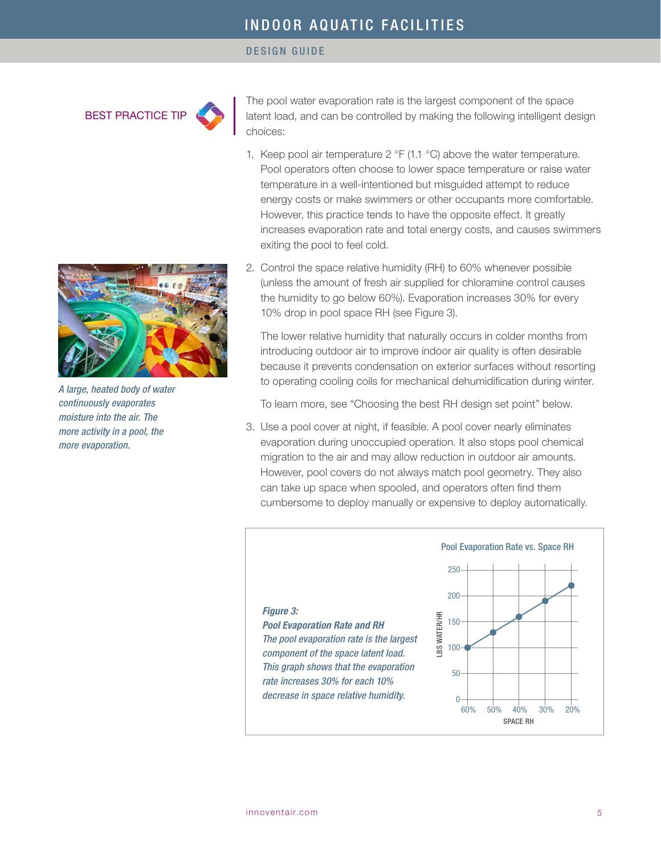#### DESIGN GUIDE

BEST PRACTICE TIP

The pool water evaporation rate is the largest component of the space latent load, and can be controlled by making the following intelligent design choices:

- 1. Keep pool air temperature  $2 \text{ }^{\circ}F$  (1.1  $\text{ }^{\circ}C$ ) above the water temperature. Pool operators often choose to lower space temperature or raise water temperature in a well-intentioned but misguided attempt to reduce energy costs or make swimmers or other occupants more comfortable. However, this practice tends to have the opposite effect. It greatly increases evaporation rate and total energy costs, and causes swimmers exiting the pool to feel cold.
- 2. Control the space relative humidity (RH) to 60% whenever possible (unless the amount of fresh air supplied for chloramine control causes the humidity to go below 60%). Evaporation increases 30% for every 10% drop in pool space RH (see Figure 3).

The lower relative humidity that naturally occurs in colder months from introducing outdoor air to improve indoor air quality is often desirable because it prevents condensation on exterior surfaces without resorting to operating cooling coils for mechanical dehumidification during winter.

To learn more, see "Choosing the best RH design set point" below.

3. Use a pool cover at night, if feasible. A pool cover nearly eliminates evaporation during unoccupied operation. It also stops pool chemical migration to the air and may allow reduction in outdoor air amounts. However, pool covers do not always match pool geometry. They also can take up space when spooled, and operators often find them cumbersome to deploy manually or expensive to deploy automatically.





*A large, heated body of water continuously evaporates moisture into the air. The more activity in a pool, the more evaporation.*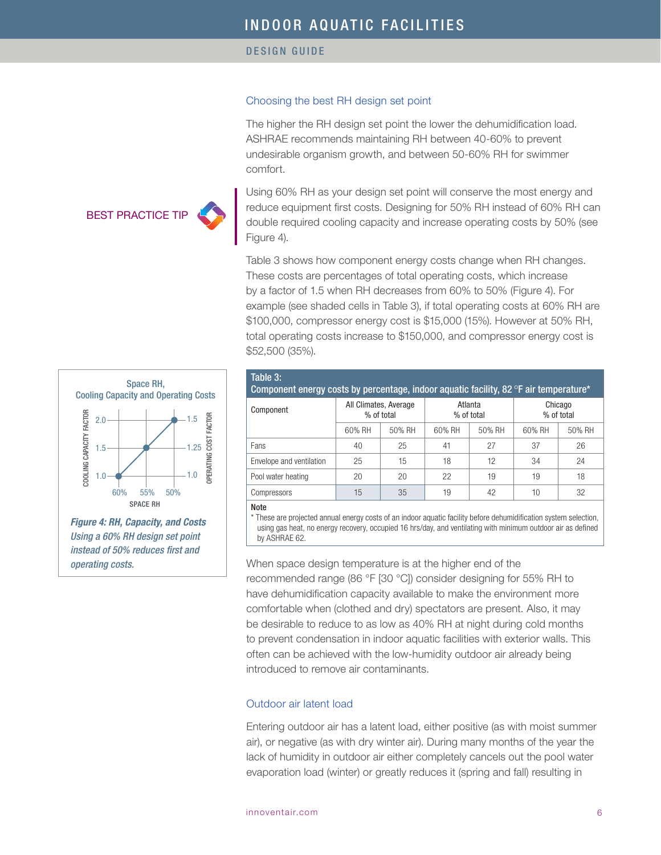#### Choosing the best RH design set point

The higher the RH design set point the lower the dehumidification load. ASHRAE recommends maintaining RH between 40-60% to prevent undesirable organism growth, and between 50-60% RH for swimmer comfort.

Using 60% RH as your design set point will conserve the most energy and reduce equipment first costs. Designing for 50% RH instead of 60% RH can double required cooling capacity and increase operating costs by 50% (see Figure 4).

Table 3 shows how component energy costs change when RH changes. These costs are percentages of total operating costs, which increase by a factor of 1.5 when RH decreases from 60% to 50% (Figure 4). For example (see shaded cells in Table 3), if total operating costs at 60% RH are \$100,000, compressor energy cost is \$15,000 (15%). However at 50% RH, total operating costs increase to \$150,000, and compressor energy cost is \$52,500 (35%).



BEST PRACTICE TIP

*Using a 60% RH design set point instead of 50% reduces first and operating costs.*

| Table 3:<br>Component energy costs by percentage, indoor aquatic facility, 82 °F air temperature* |                                     |        |                       |           |                       |        |
|---------------------------------------------------------------------------------------------------|-------------------------------------|--------|-----------------------|-----------|-----------------------|--------|
| Component                                                                                         | All Climates, Average<br>% of total |        | Atlanta<br>% of total |           | Chicago<br>% of total |        |
|                                                                                                   | 60% RH                              | 50% RH | 60% RH                | 50% RH    | 60% RH                | 50% RH |
| Fans                                                                                              | 40                                  | 25     | 41                    | 27        | 37                    | 26     |
| Envelope and ventilation                                                                          | 25                                  | 15     | 18                    | $12^{12}$ | 34                    | 24     |
| Pool water heating                                                                                | 20                                  | 20     | 22                    | 19        | 19                    | 18     |
| Compressors                                                                                       | 15                                  | 35     | 19                    | 42        | 10                    | 32     |
| $81 - 4 -$                                                                                        |                                     |        |                       |           |                       |        |

Note

\* These are projected annual energy costs of an indoor aquatic facility before dehumidification system selection, using gas heat, no energy recovery, occupied 16 hrs/day, and ventilating with minimum outdoor air as defined by ASHRAE 62.

When space design temperature is at the higher end of the recommended range (86 °F [30 °C]) consider designing for 55% RH to have dehumidification capacity available to make the environment more comfortable when (clothed and dry) spectators are present. Also, it may be desirable to reduce to as low as 40% RH at night during cold months to prevent condensation in indoor aquatic facilities with exterior walls. This often can be achieved with the low-humidity outdoor air already being introduced to remove air contaminants.

#### Outdoor air latent load

Entering outdoor air has a latent load, either positive (as with moist summer air), or negative (as with dry winter air). During many months of the year the lack of humidity in outdoor air either completely cancels out the pool water evaporation load (winter) or greatly reduces it (spring and fall) resulting in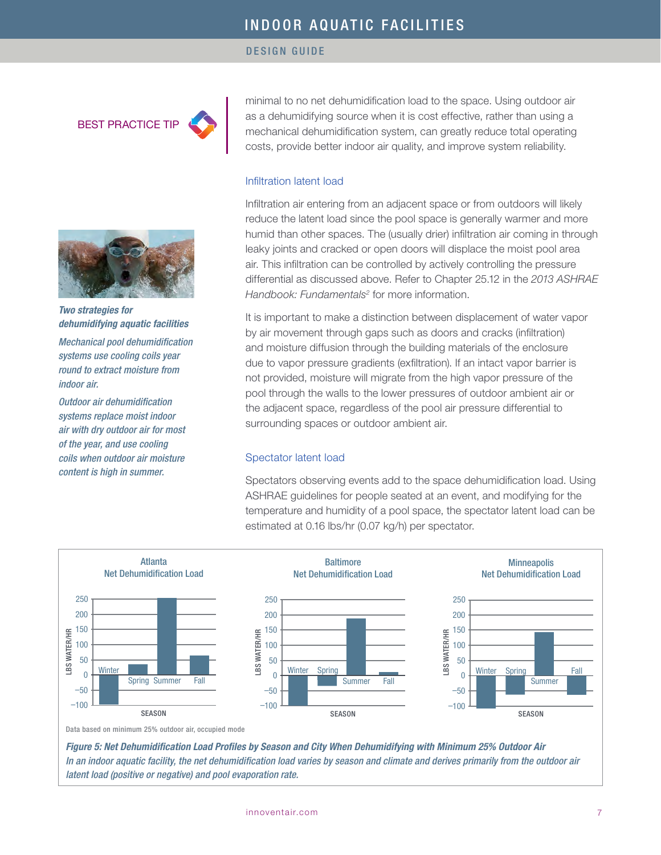#### DESIGN GUIDE

BEST PRACTICE TIP



*Two strategies for dehumidifying aquatic facilities Mechanical pool dehumidification systems use cooling coils year round to extract moisture from indoor air.*

*Outdoor air dehumidification systems replace moist indoor air with dry outdoor air for most of the year, and use cooling coils when outdoor air moisture content is high in summer.* 

minimal to no net dehumidification load to the space. Using outdoor air as a dehumidifying source when it is cost effective, rather than using a mechanical dehumidification system, can greatly reduce total operating costs, provide better indoor air quality, and improve system reliability.

#### Infiltration latent load

Infiltration air entering from an adjacent space or from outdoors will likely reduce the latent load since the pool space is generally warmer and more humid than other spaces. The (usually drier) infiltration air coming in through leaky joints and cracked or open doors will displace the moist pool area air. This infiltration can be controlled by actively controlling the pressure differential as discussed above. Refer to Chapter 25.12 in the *2013 ASHRAE*  Handbook: Fundamentals<sup>2</sup> for more information.

It is important to make a distinction between displacement of water vapor by air movement through gaps such as doors and cracks (infiltration) and moisture diffusion through the building materials of the enclosure due to vapor pressure gradients (exfiltration). If an intact vapor barrier is not provided, moisture will migrate from the high vapor pressure of the pool through the walls to the lower pressures of outdoor ambient air or the adjacent space, regardless of the pool air pressure differential to surrounding spaces or outdoor ambient air.

#### Spectator latent load

Spectators observing events add to the space dehumidification load. Using ASHRAE guidelines for people seated at an event, and modifying for the temperature and humidity of a pool space, the spectator latent load can be estimated at 0.16 lbs/hr (0.07 kg/h) per spectator.



*Figure 5: Net Dehumidification Load Profiles by Season and City When Dehumidifying with Minimum 25% Outdoor Air In an indoor aquatic facility, the net dehumidification load varies by season and climate and derives primarily from the outdoor air latent load (positive or negative) and pool evaporation rate.*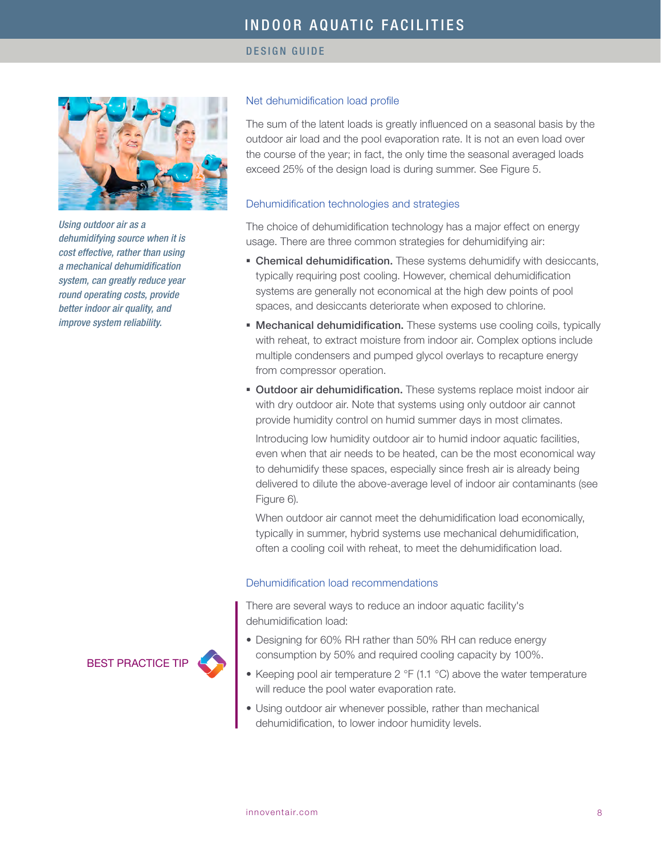

*Using outdoor air as a dehumidifying source when it is cost effective, rather than using a mechanical dehumidification system, can greatly reduce year round operating costs, provide better indoor air quality, and improve system reliability.*

#### Net dehumidification load profile

The sum of the latent loads is greatly influenced on a seasonal basis by the outdoor air load and the pool evaporation rate. It is not an even load over the course of the year; in fact, the only time the seasonal averaged loads exceed 25% of the design load is during summer. See Figure 5.

#### Dehumidification technologies and strategies

The choice of dehumidification technology has a major effect on energy usage. There are three common strategies for dehumidifying air:

- Chemical dehumidification. These systems dehumidify with desiccants, typically requiring post cooling. However, chemical dehumidification systems are generally not economical at the high dew points of pool spaces, and desiccants deteriorate when exposed to chlorine.
- **Mechanical dehumidification.** These systems use cooling coils, typically with reheat, to extract moisture from indoor air. Complex options include multiple condensers and pumped glycol overlays to recapture energy from compressor operation.
- Outdoor air dehumidification. These systems replace moist indoor air with dry outdoor air. Note that systems using only outdoor air cannot provide humidity control on humid summer days in most climates.

Introducing low humidity outdoor air to humid indoor aquatic facilities, even when that air needs to be heated, can be the most economical way to dehumidify these spaces, especially since fresh air is already being delivered to dilute the above-average level of indoor air contaminants (see Figure 6).

When outdoor air cannot meet the dehumidification load economically, typically in summer, hybrid systems use mechanical dehumidification, often a cooling coil with reheat, to meet the dehumidification load.

#### Dehumidification load recommendations

There are several ways to reduce an indoor aquatic facility's dehumidification load:

- Designing for 60% RH rather than 50% RH can reduce energy consumption by 50% and required cooling capacity by 100%.
- Keeping pool air temperature 2 °F (1.1 °C) above the water temperature will reduce the pool water evaporation rate.
- Using outdoor air whenever possible, rather than mechanical dehumidification, to lower indoor humidity levels.

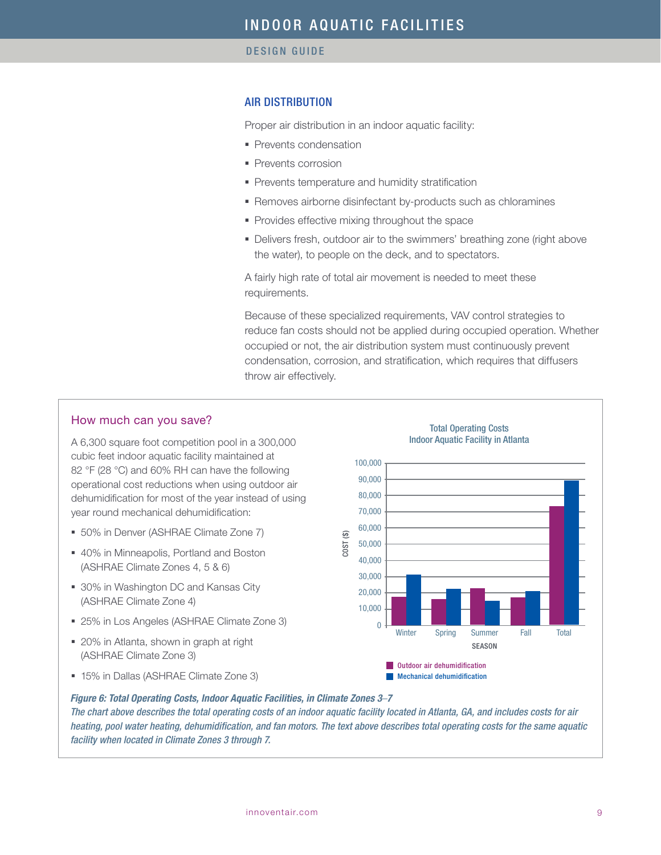#### AIR DISTRIBUTION

Proper air distribution in an indoor aquatic facility:

- Prevents condensation
- Prevents corrosion
- Prevents temperature and humidity stratification
- Removes airborne disinfectant by-products such as chloramines
- Provides effective mixing throughout the space
- Delivers fresh, outdoor air to the swimmers' breathing zone (right above the water), to people on the deck, and to spectators.

A fairly high rate of total air movement is needed to meet these requirements.

Because of these specialized requirements, VAV control strategies to reduce fan costs should not be applied during occupied operation. Whether occupied or not, the air distribution system must continuously prevent condensation, corrosion, and stratification, which requires that diffusers throw air effectively.

#### How much can you save?

A 6,300 square foot competition pool in a 300,000 cubic feet indoor aquatic facility maintained at 82 °F (28 °C) and 60% RH can have the following operational cost reductions when using outdoor air dehumidification for most of the year instead of using year round mechanical dehumidification:

- 50% in Denver (ASHRAE Climate Zone 7)
- 40% in Minneapolis, Portland and Boston (ASHRAE Climate Zones 4, 5 & 6)
- 30% in Washington DC and Kansas City (ASHRAE Climate Zone 4)
- 25% in Los Angeles (ASHRAE Climate Zone 3)
- 20% in Atlanta, shown in graph at right (ASHRAE Climate Zone 3)
- 15% in Dallas (ASHRAE Climate Zone 3)



#### *Figure 6: Total Operating Costs, Indoor Aquatic Facilities, in Climate Zones 3*–*7*

*The chart above describes the total operating costs of an indoor aquatic facility located in Atlanta, GA, and includes costs for air heating, pool water heating, dehumidification, and fan motors. The text above describes total operating costs for the same aquatic facility when located in Climate Zones 3 through 7.*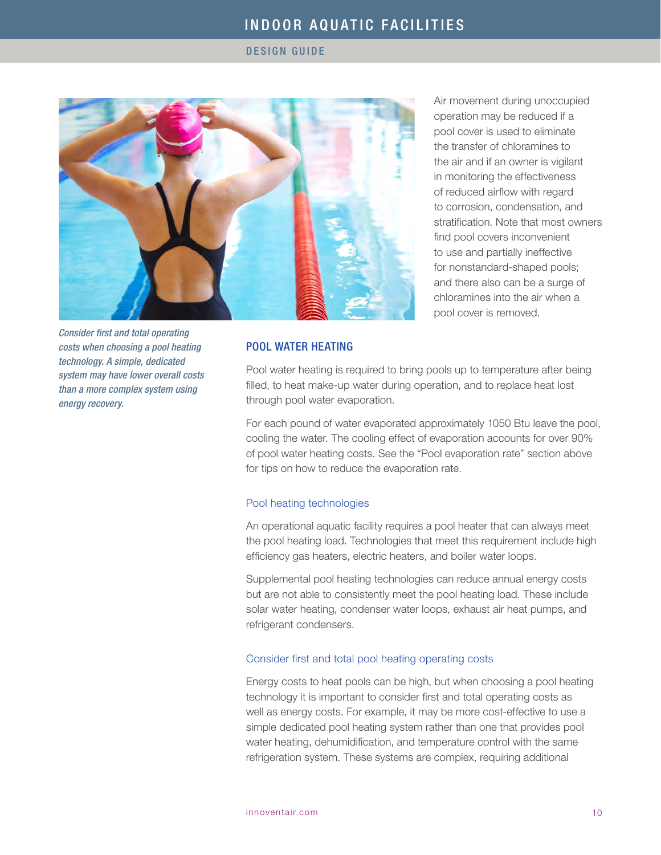#### DESIGN GUIDE



*Consider first and total operating costs when choosing a pool heating technology. A simple, dedicated system may have lower overall costs than a more complex system using energy recovery.*

Air movement during unoccupied operation may be reduced if a pool cover is used to eliminate the transfer of chloramines to the air and if an owner is vigilant in monitoring the effectiveness of reduced airflow with regard to corrosion, condensation, and stratification. Note that most owners find pool covers inconvenient to use and partially ineffective for nonstandard-shaped pools; and there also can be a surge of chloramines into the air when a pool cover is removed.

#### POOL WATER HEATING

Pool water heating is required to bring pools up to temperature after being filled, to heat make-up water during operation, and to replace heat lost through pool water evaporation.

For each pound of water evaporated approximately 1050 Btu leave the pool, cooling the water. The cooling effect of evaporation accounts for over 90% of pool water heating costs. See the "Pool evaporation rate" section above for tips on how to reduce the evaporation rate.

#### Pool heating technologies

An operational aquatic facility requires a pool heater that can always meet the pool heating load. Technologies that meet this requirement include high efficiency gas heaters, electric heaters, and boiler water loops.

Supplemental pool heating technologies can reduce annual energy costs but are not able to consistently meet the pool heating load. These include solar water heating, condenser water loops, exhaust air heat pumps, and refrigerant condensers.

#### Consider first and total pool heating operating costs

Energy costs to heat pools can be high, but when choosing a pool heating technology it is important to consider first and total operating costs as well as energy costs. For example, it may be more cost-effective to use a simple dedicated pool heating system rather than one that provides pool water heating, dehumidification, and temperature control with the same refrigeration system. These systems are complex, requiring additional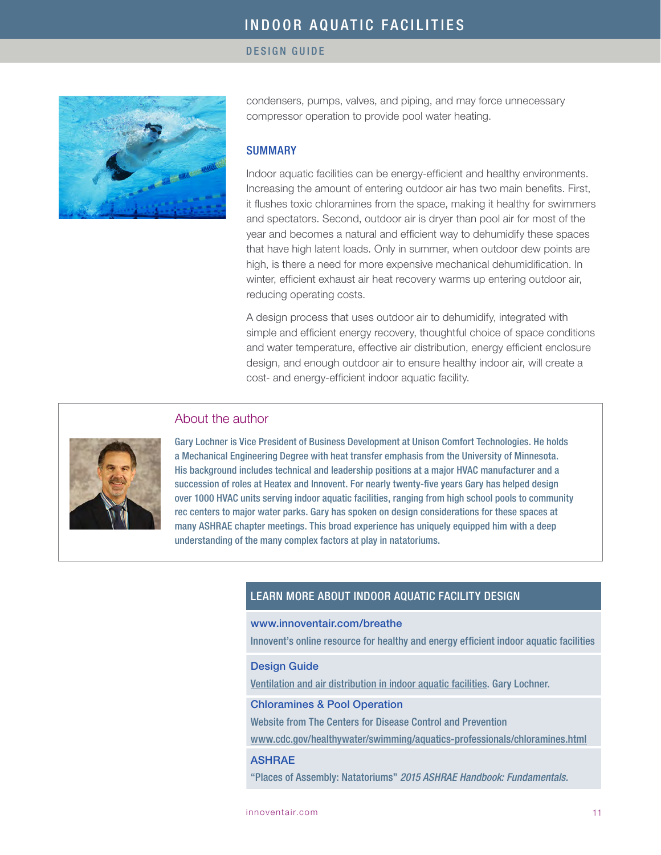#### DESIGN GUIDE



condensers, pumps, valves, and piping, and may force unnecessary compressor operation to provide pool water heating.

#### SUMMARY

Indoor aquatic facilities can be energy-efficient and healthy environments. Increasing the amount of entering outdoor air has two main benefits. First, it flushes toxic chloramines from the space, making it healthy for swimmers and spectators. Second, outdoor air is dryer than pool air for most of the year and becomes a natural and efficient way to dehumidify these spaces that have high latent loads. Only in summer, when outdoor dew points are high, is there a need for more expensive mechanical dehumidification. In winter, efficient exhaust air heat recovery warms up entering outdoor air, reducing operating costs.

A design process that uses outdoor air to dehumidify, integrated with simple and efficient energy recovery, thoughtful choice of space conditions and water temperature, effective air distribution, energy efficient enclosure design, and enough outdoor air to ensure healthy indoor air, will create a cost- and energy-efficient indoor aquatic facility.

#### About the author

Gary Lochner is Vice President of Business Development at Unison Comfort Technologies. He holds a Mechanical Engineering Degree with heat transfer emphasis from the University of Minnesota. His background includes technical and leadership positions at a major HVAC manufacturer and a succession of roles at Heatex and Innovent. For nearly twenty-five years Gary has helped design over 1000 HVAC units serving indoor aquatic facilities, ranging from high school pools to community rec centers to major water parks. Gary has spoken on design considerations for these spaces at many ASHRAE chapter meetings. This broad experience has uniquely equipped him with a deep understanding of the many complex factors at play in natatoriums.

### LEARN MORE ABOUT INDOOR AQUATIC FACILITY DESIGN

#### [www.innoventair.com/breathe](http://www.innoventair.com/breathe)

Innovent's online resource for healthy and energy efficient indoor aquatic facilities

#### Design Guide

[Ventilation and air distribution in indoor aquatic facilities](http://innoventair.com/Portals/3/Breathe%20Content/Ventilation-and-air-distribution-in-indoor-aquatic-facilities.pdf). Gary Lochner.

#### [Chloramines & Pool Operation](http://www.cdc.gov/healthywater/swimming/aquatics-professionals/chloramines.html)

Website from The Centers for Disease Control and Prevention

[www.cdc.gov/healthywater/swimming/aquatics-professionals/chloramines.html](http://www.cdc.gov/healthywater/swimming/aquatics-professionals/chloramines.html)

#### ASHRAE

"Places of Assembly: Natatoriums" *2015 ASHRAE Handbook: Fundamentals.*